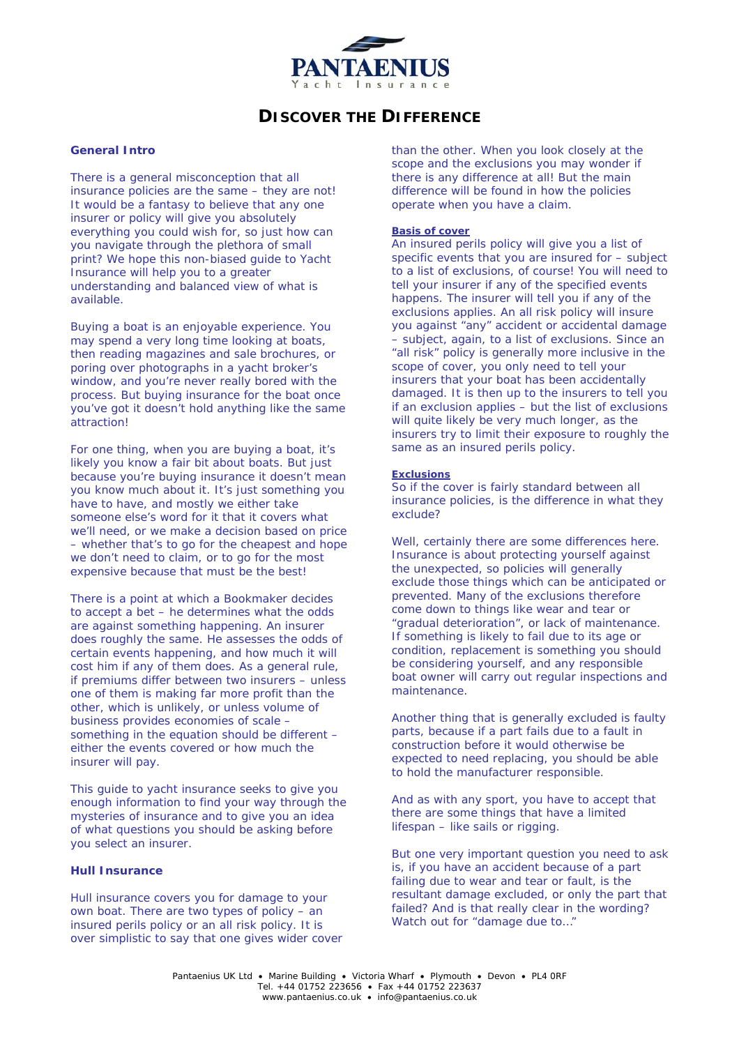

# **DISCOVER THE DIFFERENCE**

## **General Intro**

*There is a general misconception that all insurance policies are the same – they are not! It would be a fantasy to believe that any one insurer or policy will give you absolutely everything you could wish for, so just how can you navigate through the plethora of small print? We hope this non-biased guide to Yacht Insurance will help you to a greater understanding and balanced view of what is available.* 

Buying a boat is an enjoyable experience. You may spend a very long time looking at boats, then reading magazines and sale brochures, or poring over photographs in a yacht broker's window, and you're never really bored with the process. But buying insurance for the boat once you've got it doesn't hold anything like the same attraction!

For one thing, when you are buying a boat, it's likely you know a fair bit about boats. But just because you're buying insurance it doesn't mean you know much about it. It's just something you have to have, and mostly we either take someone else's word for it that it covers what we'll need, or we make a decision based on price – whether that's to go for the cheapest and hope we don't need to claim, or to go for the most expensive because that must be the best!

There is a point at which a Bookmaker decides to accept a bet – he determines what the odds are against something happening. An insurer does roughly the same. He assesses the odds of certain events happening, and how much it will cost him if any of them does. As a general rule, if premiums differ between two insurers – unless one of them is making far more profit than the other, which is unlikely, or unless volume of business provides economies of scale – something in the equation should be different – either the events covered or how much the insurer will pay.

This guide to yacht insurance seeks to give you enough information to find your way through the mysteries of insurance and to give you an idea of what questions you should be asking before you select an insurer.

### **Hull Insurance**

Hull insurance covers you for damage to your own boat. There are two types of policy – an insured perils policy or an all risk policy. It is over simplistic to say that one gives wider cover than the other. When you look closely at the scope and the exclusions you may wonder if there is any difference at all! But the main difference will be found in how the policies operate when you have a claim.

## **Basis of cover**

An insured perils policy will give you a list of specific events that you are insured for – subject to a list of exclusions, of course! You will need to tell your insurer if any of the specified events happens. The insurer will tell you if any of the exclusions applies. An all risk policy will insure you against "any" accident or accidental damage – subject, again, to a list of exclusions. Since an "all risk" policy is generally more inclusive in the scope of cover, you only need to tell your insurers that your boat has been accidentally damaged. It is then up to the insurers to tell you if an exclusion applies – but the list of exclusions will quite likely be very much longer, as the insurers try to limit their exposure to roughly the same as an insured perils policy.

#### **Exclusions**

So if the cover is fairly standard between all insurance policies, is the difference in what they exclude?

Well, certainly there are some differences here. Insurance is about protecting yourself against the unexpected, so policies will generally exclude those things which can be anticipated or prevented. Many of the exclusions therefore come down to things like wear and tear or "gradual deterioration", or lack of maintenance. If something is likely to fail due to its age or condition, replacement is something you should be considering yourself, and any responsible boat owner will carry out regular inspections and maintenance.

Another thing that is generally excluded is faulty parts, because if a part fails due to a fault in construction before it would otherwise be expected to need replacing, you should be able to hold the manufacturer responsible.

And as with any sport, you have to accept that there are some things that have a limited lifespan – like sails or rigging.

But one very important question you need to ask is, if you have an accident because of a part failing due to wear and tear or fault, is the resultant damage excluded, or only the part that failed? And is that really clear in the wording? Watch out for "damage due to…"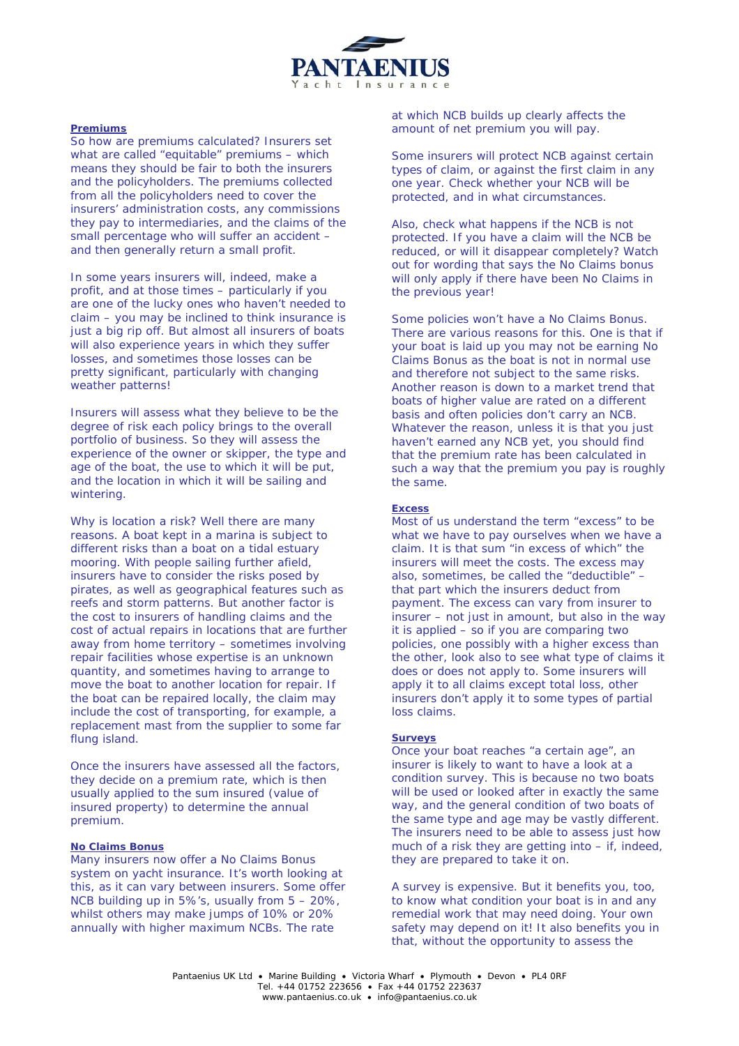

#### **Premiums**

So how are premiums calculated? Insurers set what are called "equitable" premiums – which means they should be fair to both the insurers and the policyholders. The premiums collected from all the policyholders need to cover the insurers' administration costs, any commissions they pay to intermediaries, and the claims of the small percentage who will suffer an accident – and then generally return a small profit.

In some years insurers will, indeed, make a profit, and at those times – particularly if you are one of the lucky ones who haven't needed to claim – you may be inclined to think insurance is just a big rip off. But almost all insurers of boats will also experience years in which they suffer losses, and sometimes those losses can be pretty significant, particularly with changing weather patterns!

Insurers will assess what they believe to be the degree of risk each policy brings to the overall portfolio of business. So they will assess the experience of the owner or skipper, the type and age of the boat, the use to which it will be put, and the location in which it will be sailing and wintering.

Why is location a risk? Well there are many reasons. A boat kept in a marina is subject to different risks than a boat on a tidal estuary mooring. With people sailing further afield, insurers have to consider the risks posed by pirates, as well as geographical features such as reefs and storm patterns. But another factor is the cost to insurers of handling claims and the cost of actual repairs in locations that are further away from home territory – sometimes involving repair facilities whose expertise is an unknown quantity, and sometimes having to arrange to move the boat to another location for repair. If the boat can be repaired locally, the claim may include the cost of transporting, for example, a replacement mast from the supplier to some far flung island.

Once the insurers have assessed all the factors, they decide on a premium rate, which is then usually applied to the sum insured (value of insured property) to determine the annual premium.

#### **No Claims Bonus**

Many insurers now offer a No Claims Bonus system on yacht insurance. It's worth looking at this, as it can vary between insurers. Some offer NCB building up in 5%'s, usually from 5 – 20%, whilst others may make jumps of 10% or 20% annually with higher maximum NCBs. The rate

at which NCB builds up clearly affects the amount of net premium you will pay.

Some insurers will protect NCB against certain types of claim, or against the first claim in any one year. Check whether your NCB will be protected, and in what circumstances.

Also, check what happens if the NCB is not protected. If you have a claim will the NCB be reduced, or will it disappear completely? Watch out for wording that says the No Claims bonus will only apply if there have been No Claims in the previous year!

Some policies won't have a No Claims Bonus. There are various reasons for this. One is that if your boat is laid up you may not be earning No Claims Bonus as the boat is not in normal use and therefore not subject to the same risks. Another reason is down to a market trend that boats of higher value are rated on a different basis and often policies don't carry an NCB. Whatever the reason, unless it is that you just haven't earned any NCB yet, you should find that the premium rate has been calculated in such a way that the premium you pay is roughly the same.

#### **Excess**

Most of us understand the term "excess" to be what we have to pay ourselves when we have a claim. It is that sum "in excess of which" the insurers will meet the costs. The excess may also, sometimes, be called the "deductible" – that part which the insurers deduct from payment. The excess can vary from insurer to insurer – not just in amount, but also in the way it is applied – so if you are comparing two policies, one possibly with a higher excess than the other, look also to see what type of claims it does or does not apply to. Some insurers will apply it to all claims except total loss, other insurers don't apply it to some types of partial loss claims.

#### **Surveys**

Once your boat reaches "a certain age", an insurer is likely to want to have a look at a condition survey. This is because no two boats will be used or looked after in exactly the same way, and the general condition of two boats of the same type and age may be vastly different. The insurers need to be able to assess just how much of a risk they are getting into – if, indeed, they are prepared to take it on.

A survey is expensive. But it benefits you, too, to know what condition your boat is in and any remedial work that may need doing. Your own safety may depend on it! It also benefits you in that, without the opportunity to assess the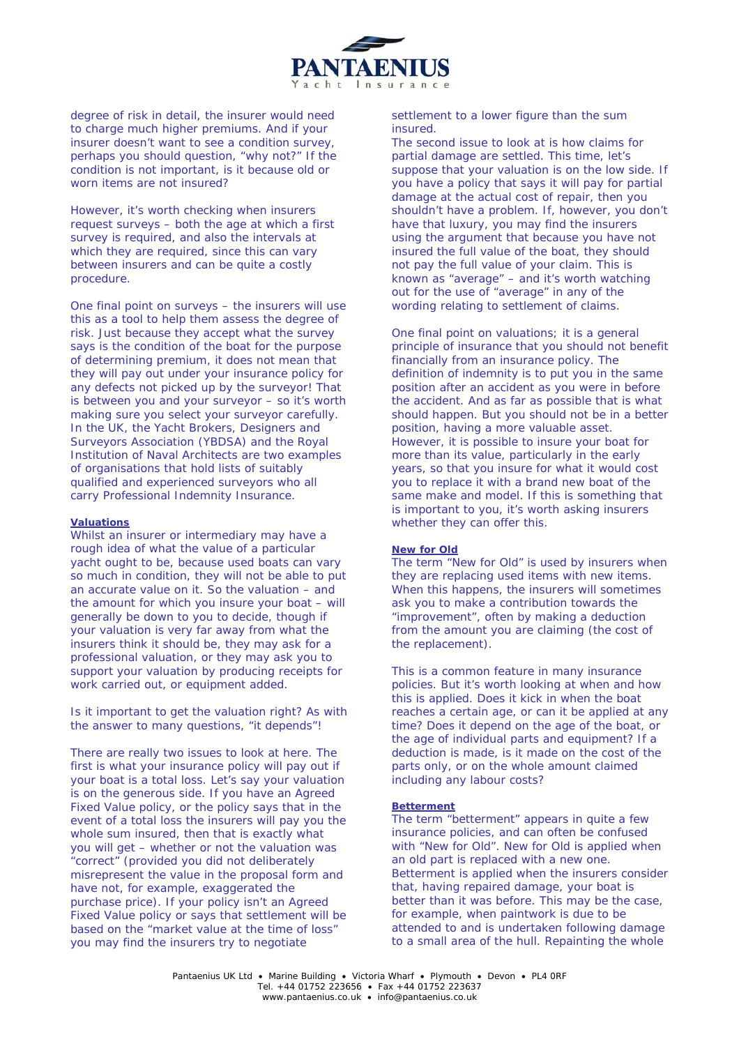

degree of risk in detail, the insurer would need to charge much higher premiums. And if your insurer doesn't want to see a condition survey, perhaps you should question, "why not?" If the condition is not important, is it because old or worn items are not insured?

However, it's worth checking when insurers request surveys – both the age at which a first survey is required, and also the intervals at which they are required, since this can vary between insurers and can be quite a costly procedure.

One final point on surveys – the insurers will use this as a tool to help them assess the degree of risk. Just because they accept what the survey says is the condition of the boat for the purpose of determining premium, it does not mean that they will pay out under your insurance policy for any defects not picked up by the surveyor! That is between you and your surveyor – so it's worth making sure you select your surveyor carefully. In the UK, the Yacht Brokers, Designers and Surveyors Association (YBDSA) and the Royal Institution of Naval Architects are two examples of organisations that hold lists of suitably qualified and experienced surveyors who all carry Professional Indemnity Insurance.

## **Valuations**

Whilst an insurer or intermediary may have a rough idea of what the value of a particular yacht ought to be, because used boats can vary so much in condition, they will not be able to put an accurate value on it. So the valuation – and the amount for which you insure your boat – will generally be down to you to decide, though if your valuation is very far away from what the insurers think it should be, they may ask for a professional valuation, or they may ask you to support your valuation by producing receipts for work carried out, or equipment added.

Is it important to get the valuation right? As with the answer to many questions, "it depends"!

There are really two issues to look at here. The first is what your insurance policy will pay out if your boat is a total loss. Let's say your valuation is on the generous side. If you have an Agreed Fixed Value policy, or the policy says that in the event of a total loss the insurers will pay you the whole sum insured, then that is exactly what you will get – whether or not the valuation was "correct" (provided you did not deliberately misrepresent the value in the proposal form and have not, for example, exaggerated the purchase price). If your policy isn't an Agreed Fixed Value policy or says that settlement will be based on the "market value at the time of loss" you may find the insurers try to negotiate

settlement to a lower figure than the sum insured.

The second issue to look at is how claims for partial damage are settled. This time, let's suppose that your valuation is on the low side. If you have a policy that says it will pay for partial damage at the actual cost of repair, then you shouldn't have a problem. If, however, you don't have that luxury, you may find the insurers using the argument that because you have not insured the full value of the boat, they should not pay the full value of your claim. This is known as "average" – and it's worth watching out for the use of "average" in any of the wording relating to settlement of claims.

One final point on valuations; it is a general principle of insurance that you should not benefit financially from an insurance policy. The definition of indemnity is to put you in the same position after an accident as you were in before the accident. And as far as possible that is what should happen. But you should not be in a better position, having a more valuable asset. However, it is possible to insure your boat for more than its value, particularly in the early years, so that you insure for what it would cost you to replace it with a brand new boat of the same make and model. If this is something that is important to you, it's worth asking insurers whether they can offer this.

#### **New for Old**

The term "New for Old" is used by insurers when they are replacing used items with new items. When this happens, the insurers will sometimes ask you to make a contribution towards the "improvement", often by making a deduction from the amount you are claiming (the cost of the replacement).

This is a common feature in many insurance policies. But it's worth looking at when and how this is applied. Does it kick in when the boat reaches a certain age, or can it be applied at any time? Does it depend on the age of the boat, or the age of individual parts and equipment? If a deduction is made, is it made on the cost of the parts only, or on the whole amount claimed including any labour costs?

#### **Betterment**

The term "betterment" appears in quite a few insurance policies, and can often be confused with "New for Old". New for Old is applied when an old part is replaced with a new one. Betterment is applied when the insurers consider that, having repaired damage, your boat is better than it was before. This may be the case, for example, when paintwork is due to be attended to and is undertaken following damage to a small area of the hull. Repainting the whole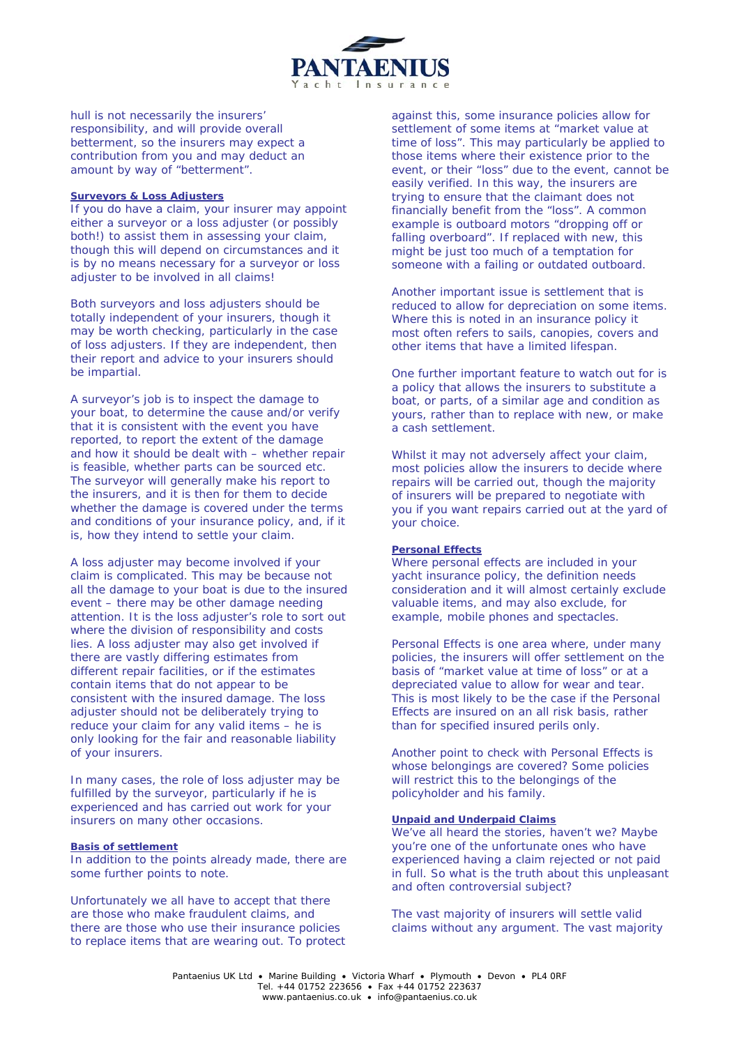

hull is not necessarily the insurers' responsibility, and will provide overall betterment, so the insurers may expect a contribution from you and may deduct an amount by way of "betterment".

### **Surveyors & Loss Adjusters**

If you do have a claim, your insurer may appoint either a surveyor or a loss adjuster (or possibly both!) to assist them in assessing your claim, though this will depend on circumstances and it is by no means necessary for a surveyor or loss adjuster to be involved in all claims!

Both surveyors and loss adjusters should be totally independent of your insurers, though it may be worth checking, particularly in the case of loss adjusters. If they are independent, then their report and advice to your insurers should be impartial.

A surveyor's job is to inspect the damage to your boat, to determine the cause and/or verify that it is consistent with the event you have reported, to report the extent of the damage and how it should be dealt with – whether repair is feasible, whether parts can be sourced etc. The surveyor will generally make his report to the insurers, and it is then for them to decide whether the damage is covered under the terms and conditions of your insurance policy, and, if it is, how they intend to settle your claim.

A loss adjuster may become involved if your claim is complicated. This may be because not all the damage to your boat is due to the insured event – there may be other damage needing attention. It is the loss adjuster's role to sort out where the division of responsibility and costs lies. A loss adjuster may also get involved if there are vastly differing estimates from different repair facilities, or if the estimates contain items that do not appear to be consistent with the insured damage. The loss adjuster should not be deliberately trying to reduce your claim for any valid items – he is only looking for the fair and reasonable liability of your insurers.

In many cases, the role of loss adjuster may be fulfilled by the surveyor, particularly if he is experienced and has carried out work for your insurers on many other occasions.

#### **Basis of settlement**

In addition to the points already made, there are some further points to note.

Unfortunately we all have to accept that there are those who make fraudulent claims, and there are those who use their insurance policies to replace items that are wearing out. To protect against this, some insurance policies allow for settlement of some items at "market value at time of loss". This may particularly be applied to those items where their existence prior to the event, or their "loss" due to the event, cannot be easily verified. In this way, the insurers are trying to ensure that the claimant does not financially benefit from the "loss". A common example is outboard motors "dropping off or falling overboard". If replaced with new, this might be just too much of a temptation for someone with a failing or outdated outboard.

Another important issue is settlement that is reduced to allow for depreciation on some items. Where this is noted in an insurance policy it most often refers to sails, canopies, covers and other items that have a limited lifespan.

One further important feature to watch out for is a policy that allows the insurers to substitute a boat, or parts, of a similar age and condition as yours, rather than to replace with new, or make a cash settlement.

Whilst it may not adversely affect your claim, most policies allow the insurers to decide where repairs will be carried out, though the majority of insurers will be prepared to negotiate with you if you want repairs carried out at the yard of your choice.

## **Personal Effects**

Where personal effects are included in your yacht insurance policy, the definition needs consideration and it will almost certainly exclude valuable items, and may also exclude, for example, mobile phones and spectacles.

Personal Effects is one area where, under many policies, the insurers will offer settlement on the basis of "market value at time of loss" or at a depreciated value to allow for wear and tear. This is most likely to be the case if the Personal Effects are insured on an all risk basis, rather than for specified insured perils only.

Another point to check with Personal Effects is whose belongings are covered? Some policies will restrict this to the belongings of the policyholder and his family.

## **Unpaid and Underpaid Claims**

We've all heard the stories, haven't we? Maybe you're one of the unfortunate ones who have experienced having a claim rejected or not paid in full. So what is the truth about this unpleasant and often controversial subject?

The vast majority of insurers will settle valid claims without any argument. The vast majority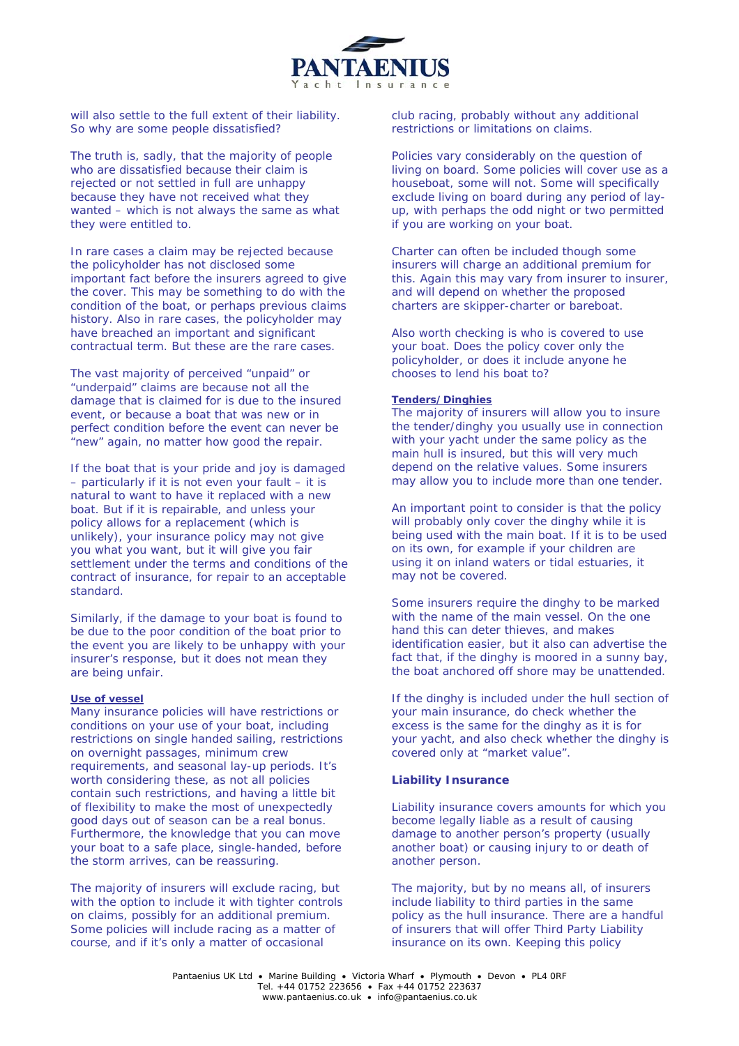

will also settle to the full extent of their liability. So why are some people dissatisfied?

The truth is, sadly, that the majority of people who are dissatisfied because their claim is rejected or not settled in full are unhappy because they have not received what they wanted – which is not always the same as what they were entitled to.

In rare cases a claim may be rejected because the policyholder has not disclosed some important fact before the insurers agreed to give the cover. This may be something to do with the condition of the boat, or perhaps previous claims history. Also in rare cases, the policyholder may have breached an important and significant contractual term. But these are the rare cases.

The vast majority of perceived "unpaid" or "underpaid" claims are because not all the damage that is claimed for is due to the insured event, or because a boat that was new or in perfect condition before the event can never be .<br>"new" again, no matter how good the repair.

If the boat that is your pride and joy is damaged – particularly if it is not even your fault – it is natural to want to have it replaced with a new boat. But if it is repairable, and unless your policy allows for a replacement (which is unlikely), your insurance policy may not give you what you want, but it will give you fair settlement under the terms and conditions of the contract of insurance, for repair to an acceptable standard.

Similarly, if the damage to your boat is found to be due to the poor condition of the boat prior to the event you are likely to be unhappy with your insurer's response, but it does not mean they are being unfair.

# **Use of vessel**

Many insurance policies will have restrictions or conditions on your use of your boat, including restrictions on single handed sailing, restrictions on overnight passages, minimum crew requirements, and seasonal lay-up periods. It's worth considering these, as not all policies contain such restrictions, and having a little bit of flexibility to make the most of unexpectedly good days out of season can be a real bonus. Furthermore, the knowledge that you can move your boat to a safe place, single-handed, before the storm arrives, can be reassuring.

The majority of insurers will exclude racing, but with the option to include it with tighter controls on claims, possibly for an additional premium. Some policies will include racing as a matter of course, and if it's only a matter of occasional

club racing, probably without any additional restrictions or limitations on claims.

Policies vary considerably on the question of living on board. Some policies will cover use as a houseboat, some will not. Some will specifically exclude living on board during any period of layup, with perhaps the odd night or two permitted if you are working on your boat.

Charter can often be included though some insurers will charge an additional premium for this. Again this may vary from insurer to insurer, and will depend on whether the proposed charters are skipper-charter or bareboat.

Also worth checking is who is covered to use your boat. Does the policy cover only the policyholder, or does it include anyone he chooses to lend his boat to?

#### **Tenders/Dinghies**

The majority of insurers will allow you to insure the tender/dinghy you usually use in connection with your yacht under the same policy as the main hull is insured, but this will very much depend on the relative values. Some insurers may allow you to include more than one tender.

An important point to consider is that the policy will probably only cover the dinghy while it is being used with the main boat. If it is to be used on its own, for example if your children are using it on inland waters or tidal estuaries, it may not be covered.

Some insurers require the dinghy to be marked with the name of the main vessel. On the one hand this can deter thieves, and makes identification easier, but it also can advertise the fact that, if the dinghy is moored in a sunny bay, the boat anchored off shore may be unattended.

If the dinghy is included under the hull section of your main insurance, do check whether the excess is the same for the dinghy as it is for your yacht, and also check whether the dinghy is covered only at "market value".

#### **Liability Insurance**

Liability insurance covers amounts for which you become legally liable as a result of causing damage to another person's property (usually another boat) or causing injury to or death of another person.

The majority, but by no means all, of insurers include liability to third parties in the same policy as the hull insurance. There are a handful of insurers that will offer Third Party Liability insurance on its own. Keeping this policy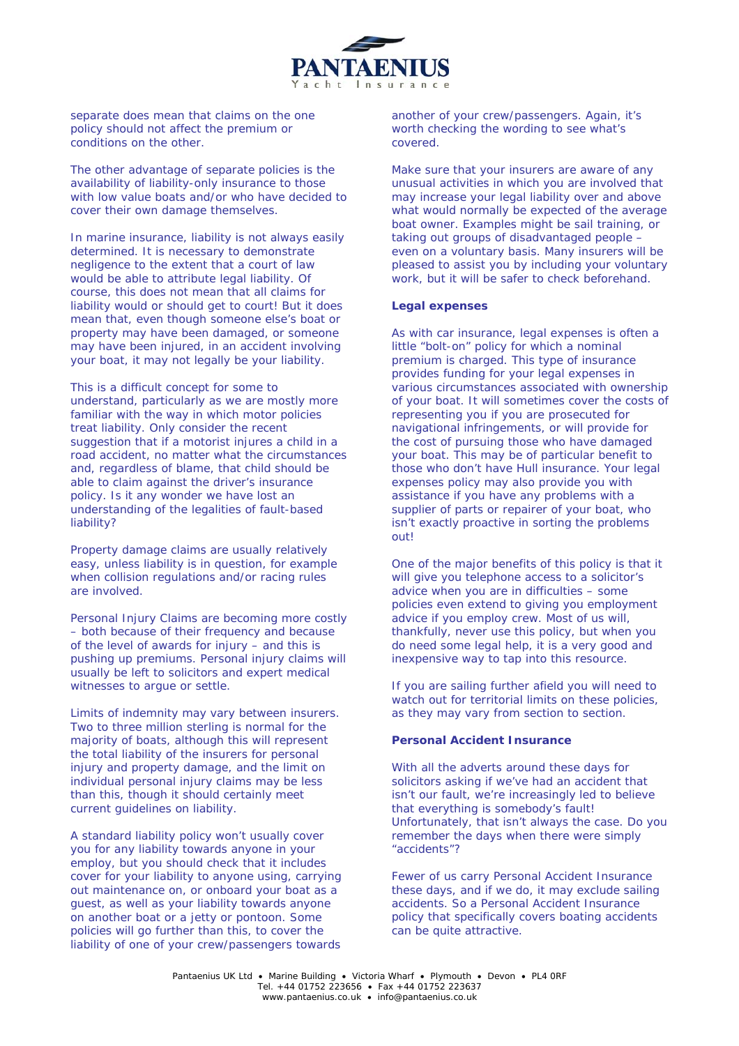

separate does mean that claims on the one policy should not affect the premium or conditions on the other.

The other advantage of separate policies is the availability of liability-only insurance to those with low value boats and/or who have decided to cover their own damage themselves.

In marine insurance, liability is not always easily determined. It is necessary to demonstrate negligence to the extent that a court of law would be able to attribute legal liability. Of course, this does not mean that all claims for liability would or should get to court! But it does mean that, even though someone else's boat or property may have been damaged, or someone may have been injured, in an accident involving your boat, it may not legally be your liability.

This is a difficult concept for some to understand, particularly as we are mostly more familiar with the way in which motor policies treat liability. Only consider the recent suggestion that if a motorist injures a child in a road accident, no matter what the circumstances and, regardless of blame, that child should be able to claim against the driver's insurance policy. Is it any wonder we have lost an understanding of the legalities of fault-based liability?

Property damage claims are usually relatively easy, unless liability is in question, for example when collision regulations and/or racing rules are involved.

Personal Injury Claims are becoming more costly – both because of their frequency and because of the level of awards for injury – and this is pushing up premiums. Personal injury claims will usually be left to solicitors and expert medical witnesses to argue or settle.

Limits of indemnity may vary between insurers. Two to three million sterling is normal for the majority of boats, although this will represent the total liability of the insurers for personal injury and property damage, and the limit on individual personal injury claims may be less than this, though it should certainly meet current guidelines on liability.

A standard liability policy won't usually cover you for any liability towards anyone in your employ, but you should check that it includes cover for your liability to anyone using, carrying out maintenance on, or onboard your boat as a guest, as well as your liability towards anyone on another boat or a jetty or pontoon. Some policies will go further than this, to cover the liability of one of your crew/passengers towards

another of your crew/passengers. Again, it's worth checking the wording to see what's covered.

Make sure that your insurers are aware of any unusual activities in which you are involved that may increase your legal liability over and above what would normally be expected of the average boat owner. Examples might be sail training, or taking out groups of disadvantaged people – even on a voluntary basis. Many insurers will be pleased to assist you by including your voluntary work, but it will be safer to check beforehand.

#### **Legal expenses**

As with car insurance, legal expenses is often a little "bolt-on" policy for which a nominal premium is charged. This type of insurance provides funding for your legal expenses in various circumstances associated with ownership of your boat. It will sometimes cover the costs of representing you if you are prosecuted for navigational infringements, or will provide for the cost of pursuing those who have damaged your boat. This may be of particular benefit to those who don't have Hull insurance. Your legal expenses policy may also provide you with assistance if you have any problems with a supplier of parts or repairer of your boat, who isn't exactly proactive in sorting the problems out!

One of the major benefits of this policy is that it will give you telephone access to a solicitor's advice when you are in difficulties – some policies even extend to giving you employment advice if you employ crew. Most of us will, thankfully, never use this policy, but when you do need some legal help, it is a very good and inexpensive way to tap into this resource.

If you are sailing further afield you will need to watch out for territorial limits on these policies, as they may vary from section to section.

## **Personal Accident Insurance**

With all the adverts around these days for solicitors asking if we've had an accident that isn't our fault, we're increasingly led to believe that everything is somebody's fault! Unfortunately, that isn't always the case. Do you remember the days when there were simply "accidents"?

Fewer of us carry Personal Accident Insurance these days, and if we do, it may exclude sailing accidents. So a Personal Accident Insurance policy that specifically covers boating accidents can be quite attractive.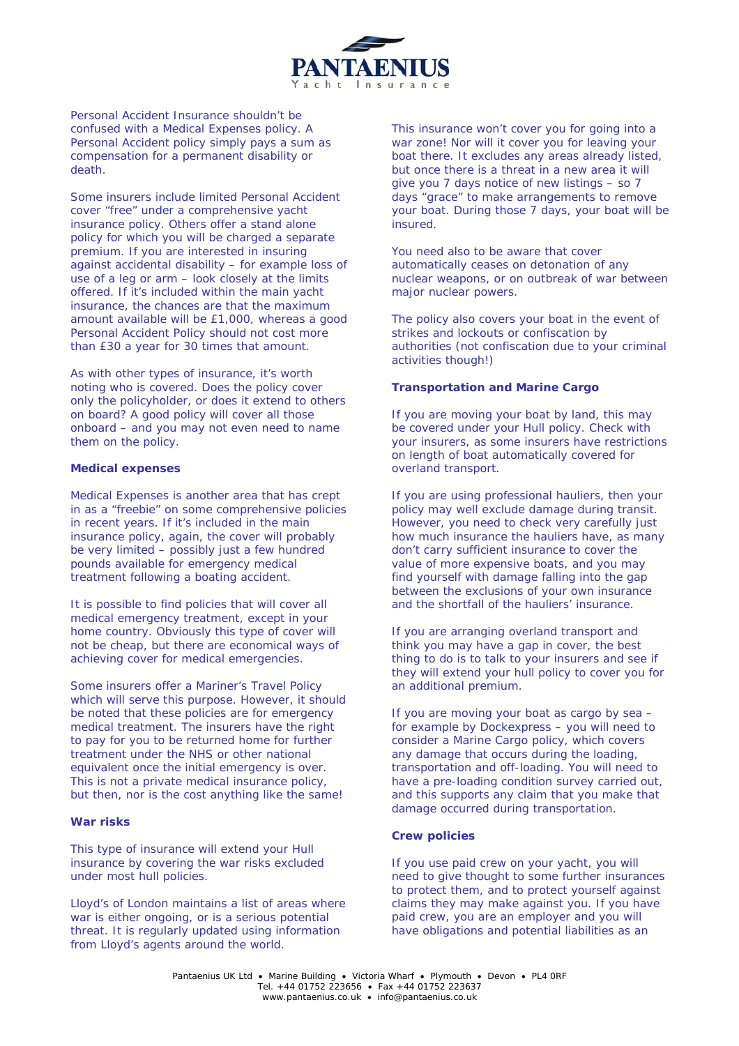

Personal Accident Insurance shouldn't be confused with a Medical Expenses policy. A Personal Accident policy simply pays a sum as compensation for a permanent disability or death.

Some insurers include limited Personal Accident cover "free" under a comprehensive yacht insurance policy. Others offer a stand alone policy for which you will be charged a separate premium. If you are interested in insuring against accidental disability – for example loss of use of a leg or arm – look closely at the limits offered. If it's included within the main yacht insurance, the chances are that the maximum amount available will be £1,000, whereas a good Personal Accident Policy should not cost more than £30 a year for 30 times that amount.

As with other types of insurance, it's worth noting who is covered. Does the policy cover only the policyholder, or does it extend to others on board? A good policy will cover all those onboard – and you may not even need to name them on the policy.

#### **Medical expenses**

Medical Expenses is another area that has crept in as a "freebie" on some comprehensive policies in recent years. If it's included in the main insurance policy, again, the cover will probably be very limited – possibly just a few hundred pounds available for emergency medical treatment following a boating accident.

It is possible to find policies that will cover all medical emergency treatment, except in your home country. Obviously this type of cover will not be cheap, but there are economical ways of achieving cover for medical emergencies.

Some insurers offer a Mariner's Travel Policy which will serve this purpose. However, it should be noted that these policies are for emergency medical treatment. The insurers have the right to pay for you to be returned home for further treatment under the NHS or other national equivalent once the initial emergency is over. This is not a private medical insurance policy, but then, nor is the cost anything like the same!

## **War risks**

This type of insurance will extend your Hull insurance by covering the war risks excluded under most hull policies.

Lloyd's of London maintains a list of areas where war is either ongoing, or is a serious potential threat. It is regularly updated using information from Lloyd's agents around the world.

This insurance won't cover you for going into a war zone! Nor will it cover you for leaving your boat there. It excludes any areas already listed, but once there is a threat in a new area it will give you 7 days notice of new listings – so 7 days "grace" to make arrangements to remove your boat. During those 7 days, your boat will be insured.

You need also to be aware that cover automatically ceases on detonation of any nuclear weapons, or on outbreak of war between major nuclear powers.

The policy also covers your boat in the event of strikes and lockouts or confiscation by authorities (not confiscation due to your criminal activities though!)

## **Transportation and Marine Cargo**

If you are moving your boat by land, this may be covered under your Hull policy. Check with your insurers, as some insurers have restrictions on length of boat automatically covered for overland transport.

If you are using professional hauliers, then your policy may well exclude damage during transit. However, you need to check very carefully just how much insurance the hauliers have, as many don't carry sufficient insurance to cover the value of more expensive boats, and you may find yourself with damage falling into the gap between the exclusions of your own insurance and the shortfall of the hauliers' insurance.

If you are arranging overland transport and think you may have a gap in cover, the best thing to do is to talk to your insurers and see if they will extend your hull policy to cover you for an additional premium.

If you are moving your boat as cargo by sea – for example by Dockexpress – you will need to consider a Marine Cargo policy, which covers any damage that occurs during the loading, transportation and off-loading. You will need to have a pre-loading condition survey carried out, and this supports any claim that you make that damage occurred during transportation.

#### **Crew policies**

If you use paid crew on your yacht, you will need to give thought to some further insurances to protect them, and to protect yourself against claims they may make against you. If you have paid crew, you are an employer and you will have obligations and potential liabilities as an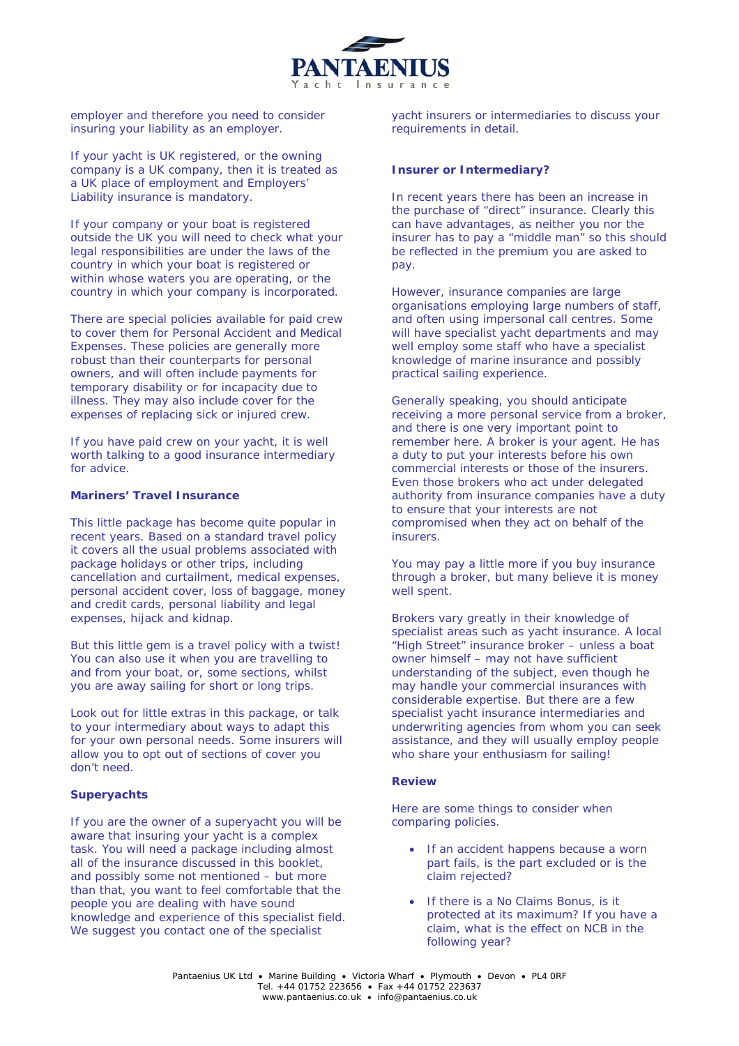

employer and therefore you need to consider insuring your liability as an employer.

If your yacht is UK registered, or the owning company is a UK company, then it is treated as a UK place of employment and Employers' Liability insurance is mandatory.

If your company or your boat is registered outside the UK you will need to check what your legal responsibilities are under the laws of the country in which your boat is registered or within whose waters you are operating, or the country in which your company is incorporated.

There are special policies available for paid crew to cover them for Personal Accident and Medical Expenses. These policies are generally more robust than their counterparts for personal owners, and will often include payments for temporary disability or for incapacity due to illness. They may also include cover for the expenses of replacing sick or injured crew.

If you have paid crew on your yacht, it is well worth talking to a good insurance intermediary for advice.

# **Mariners' Travel Insurance**

This little package has become quite popular in recent years. Based on a standard travel policy it covers all the usual problems associated with package holidays or other trips, including cancellation and curtailment, medical expenses, personal accident cover, loss of baggage, money and credit cards, personal liability and legal expenses, hijack and kidnap.

But this little gem is a travel policy with a twist! You can also use it when you are travelling to and from your boat, or, some sections, whilst you are away sailing for short or long trips.

Look out for little extras in this package, or talk to your intermediary about ways to adapt this for your own personal needs. Some insurers will allow you to opt out of sections of cover you don't need.

# **Superyachts**

If you are the owner of a superyacht you will be aware that insuring your yacht is a complex task. You will need a package including almost all of the insurance discussed in this booklet, and possibly some not mentioned – but more than that, you want to feel comfortable that the people you are dealing with have sound knowledge and experience of this specialist field. We suggest you contact one of the specialist

yacht insurers or intermediaries to discuss your requirements in detail.

# **Insurer or Intermediary?**

In recent years there has been an increase in the purchase of "direct" insurance. Clearly this can have advantages, as neither you nor the insurer has to pay a "middle man" so this should be reflected in the premium you are asked to pay.

However, insurance companies are large organisations employing large numbers of staff, and often using impersonal call centres. Some will have specialist yacht departments and may well employ some staff who have a specialist knowledge of marine insurance and possibly practical sailing experience.

Generally speaking, you should anticipate receiving a more personal service from a broker, and there is one very important point to remember here. A broker is your agent. He has a duty to put your interests before his own commercial interests or those of the insurers. Even those brokers who act under delegated authority from insurance companies have a duty to ensure that your interests are not compromised when they act on behalf of the insurers.

You may pay a little more if you buy insurance through a broker, but many believe it is money well spent.

Brokers vary greatly in their knowledge of specialist areas such as yacht insurance. A local "High Street" insurance broker – unless a boat owner himself – may not have sufficient understanding of the subject, even though he may handle your commercial insurances with considerable expertise. But there are a few specialist yacht insurance intermediaries and underwriting agencies from whom you can seek assistance, and they will usually employ people who share your enthusiasm for sailing!

# **Review**

Here are some things to consider when comparing policies.

- If an accident happens because a worn part fails, is the part excluded or is the claim rejected?
- If there is a No Claims Bonus, is it protected at its maximum? If you have a claim, what is the effect on NCB in the following year?